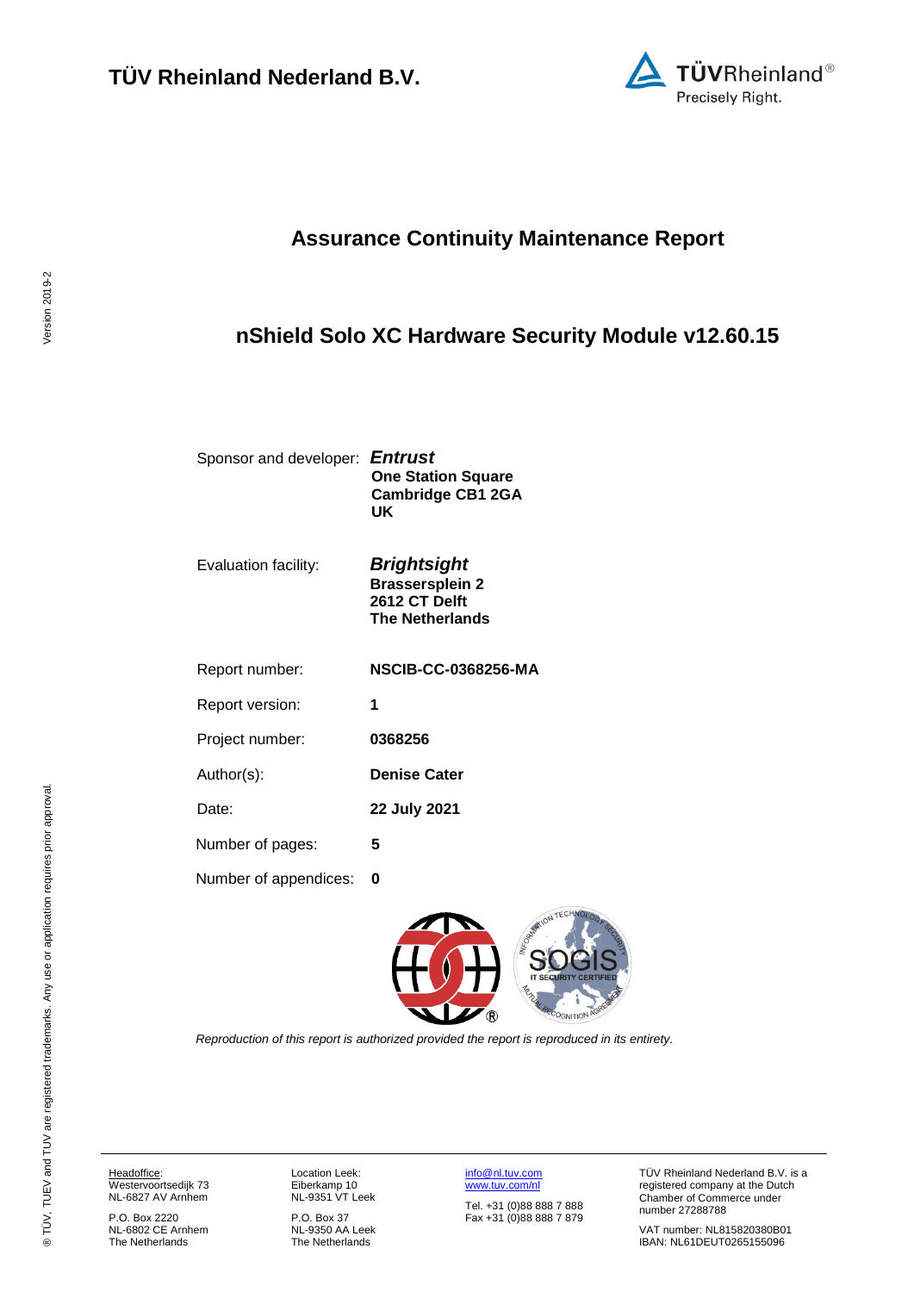

# **Assurance Continuity Maintenance Report**

# <span id="page-0-2"></span>**nShield Solo XC Hardware Security Module v12.60.15**

Sponsor and developer: *Entrust* **One Station Square Cambridge CB1 2GA UK**

Evaluation facility: *Brightsight*

**Brassersplein 2 2612 CT Delft**

Report number: **NSCIB-CC-0368256-MA**

<span id="page-0-3"></span><span id="page-0-0"></span>**The Netherlands**

Report version: **1**

Project number: **[0368256](#page-0-0)**

Author(s): **Denise Cater** 

Date: **22 July 2021**

Number of pages: **5**

Number of appendices: **0**

<span id="page-0-1"></span>

*Reproduction of this report is authorized provided the report is reproduced in its entirety.*

Headoffice: Westervoortsedijk 73 NL-6827 AV Arnhem

P.O. Box 2220 NL-6802 CE Arnhem The Netherlands

Location Leek: Eiberkamp 10 NL-9351 VT Leek

P.O. Box 37 NL-9350 AA Leek The Netherlands

[info@nl.tuv.com](mailto:info@nl.tuv.com) [www.tuv.com/nl](http://www.tuv.com/nl)

Tel. +31 (0)88 888 7 888 Fax +31 (0)88 888 7 879 TÜV Rheinland Nederland B.V. is a registered company at the Dutch Chamber of Commerce under number 27288788

VAT number: NL815820380B01 IBAN: NL61DEUT0265155096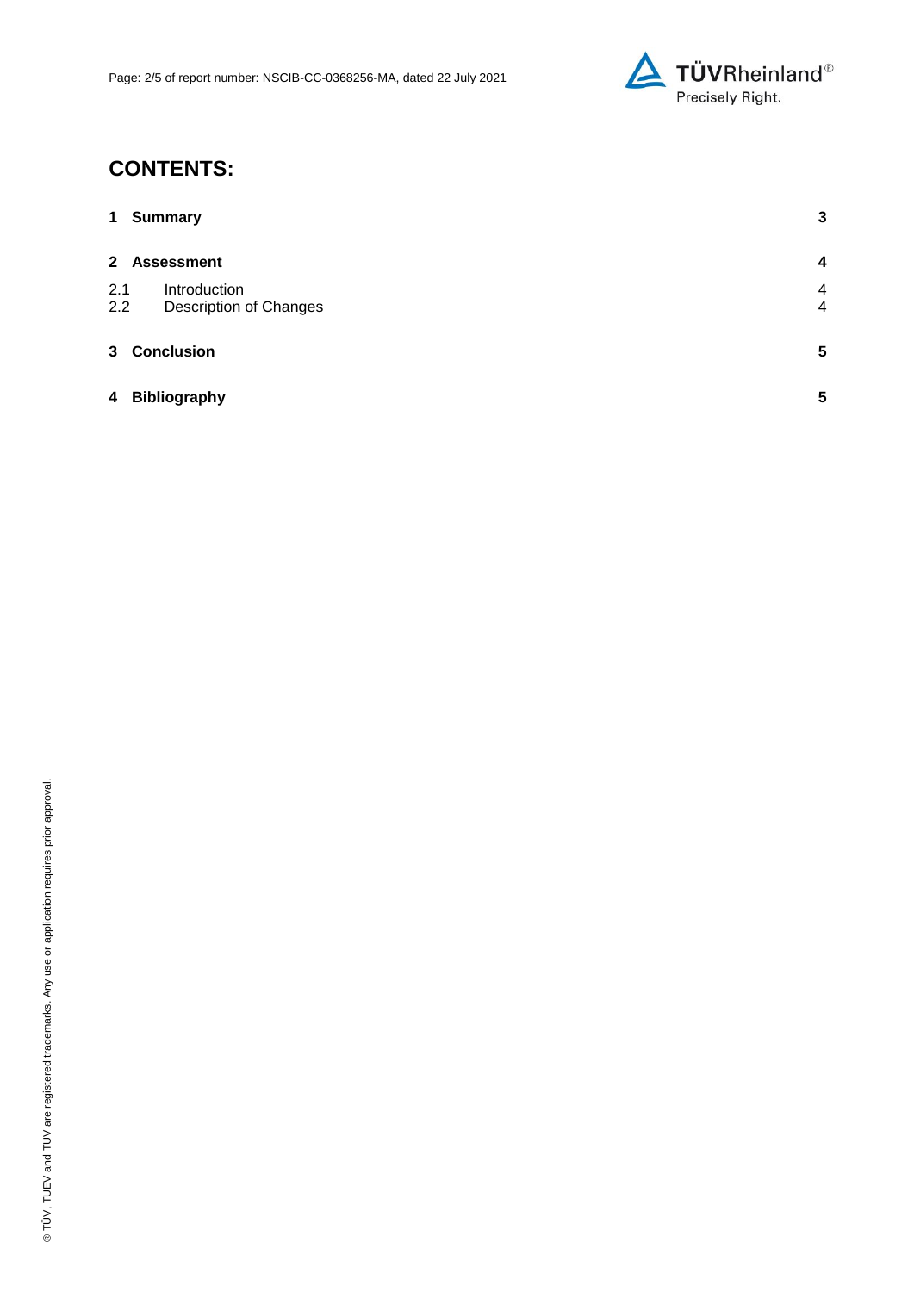

# **CONTENTS:**

| $\mathbf 1$    | <b>Summary</b>                                | $\mathbf{3}$                     |
|----------------|-----------------------------------------------|----------------------------------|
| $\mathbf{2}$   | <b>Assessment</b>                             | $\overline{\mathbf{4}}$          |
| 2.1<br>2.2     | Introduction<br><b>Description of Changes</b> | $\overline{4}$<br>$\overline{4}$ |
| 3 <sup>1</sup> | <b>Conclusion</b>                             | $5\phantom{.0}$                  |
| 4              | <b>Bibliography</b>                           | 5                                |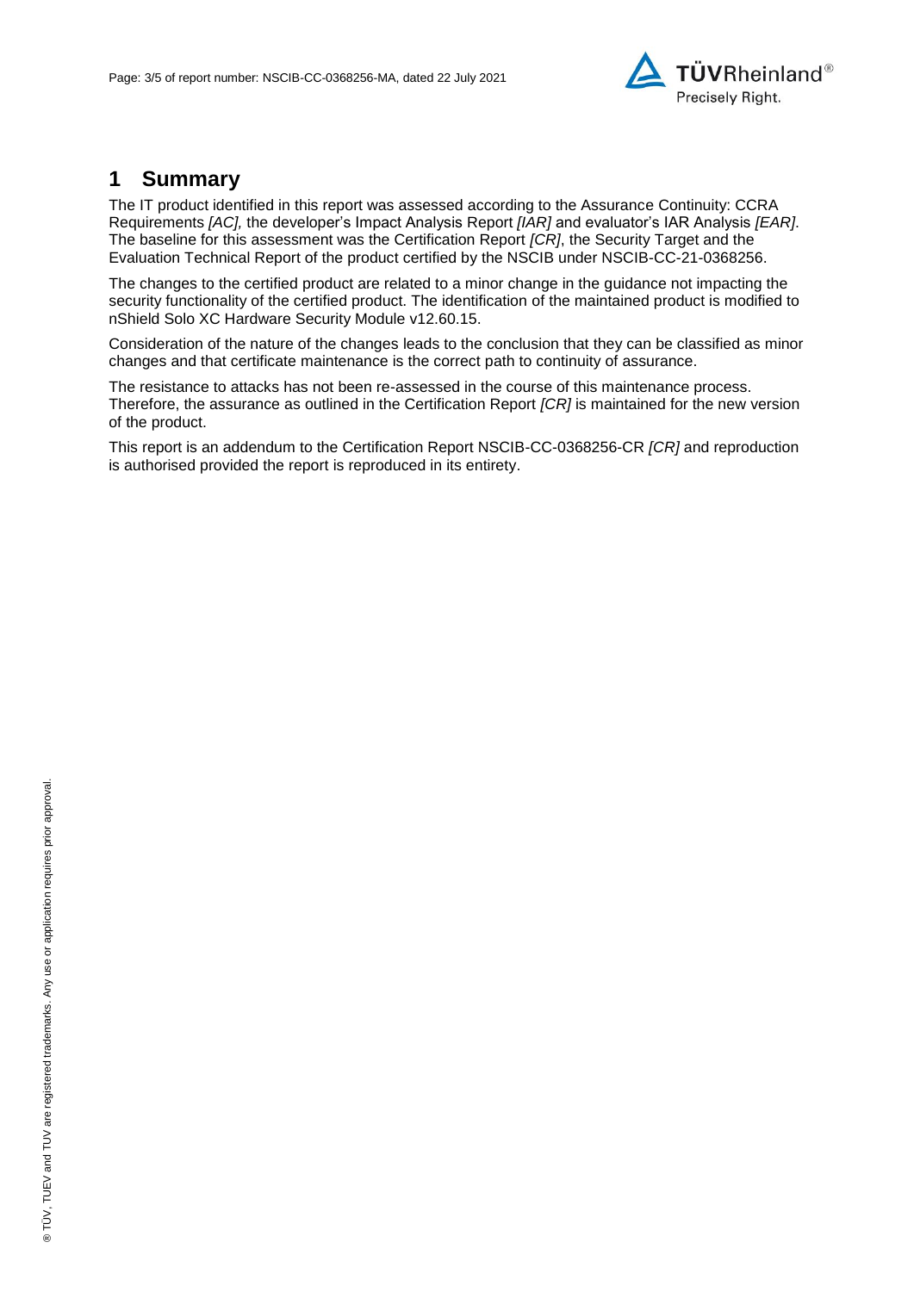

### **1 Summary**

The IT product identified in this report was assessed according to the Assurance Continuity: CCRA Requirements *[AC],* the developer's Impact Analysis Report *[IAR]* and evaluator's IAR Analysis *[EAR]*. The baseline for this assessment was the Certification Report *[CR]*, the Security Target and the Evaluation Technical Report of the product certified by the NSCIB under NSCIB-CC-21[-0368256.](#page-0-0)

The changes to the certified product are related to a minor change in the guidance not impacting the security functionality of the certified product. The identification of the maintained product is modified to [nShield Solo XC Hardware Security Module v12.60.15.](#page-0-2)

Consideration of the nature of the changes leads to the conclusion that they can be classified as minor changes and that certificate maintenance is the correct path to continuity of assurance.

The resistance to attacks has not been re-assessed in the course of this maintenance process. Therefore, the assurance as outlined in the Certification Report *[CR]* is maintained for the new version of the product.

This report is an addendum to the Certification Report NSCIB-CC[-0368256-](#page-0-0)CR *[CR]* and reproduction is authorised provided the report is reproduced in its entirety.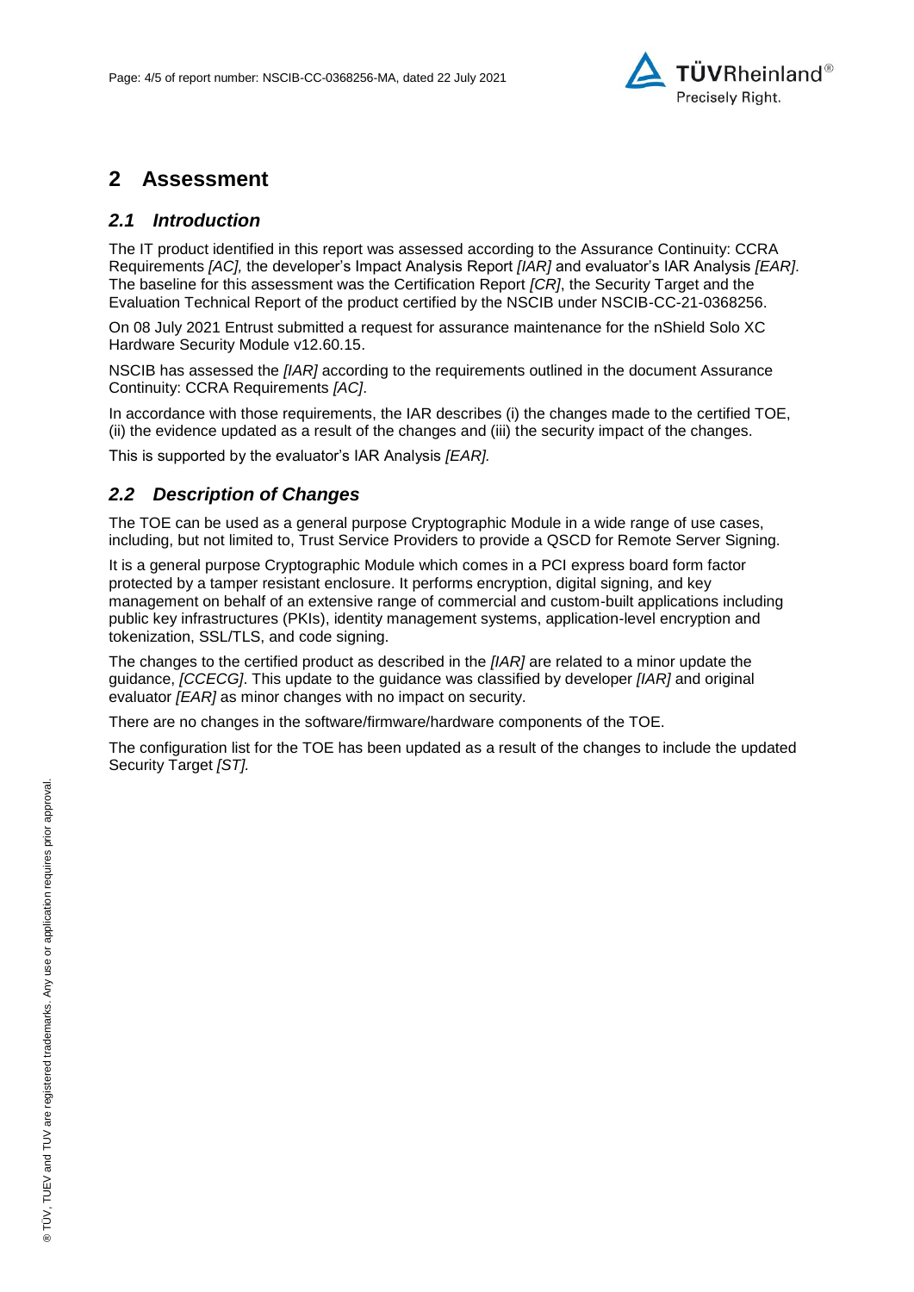

### **2 Assessment**

#### *2.1 Introduction*

The IT product identified in this report was assessed according to the Assurance Continuity: CCRA Requirements *[AC],* the developer's Impact Analysis Report *[IAR]* and evaluator's IAR Analysis *[EAR]*. The baseline for this assessment was the Certification Report *[CR]*, the Security Target and the Evaluation Technical Report of the product certified by the NSCIB under NSCIB-CC-21[-0368256.](#page-0-0)

On 08 July 2021 [Entrust](#page-0-3) submitted a request for assurance maintenance for the [nShield Solo XC](#page-0-2)  [Hardware Security Module v12.60.15.](#page-0-2)

NSCIB has assessed the *[IAR]* according to the requirements outlined in the document Assurance Continuity: CCRA Requirements *[AC]*.

In accordance with those requirements, the IAR describes (i) the changes made to the certified TOE, (ii) the evidence updated as a result of the changes and (iii) the security impact of the changes.

This is supported by the evaluator's IAR Analysis *[EAR].*

#### *2.2 Description of Changes*

The TOE can be used as a general purpose Cryptographic Module in a wide range of use cases, including, but not limited to, Trust Service Providers to provide a QSCD for Remote Server Signing.

It is a general purpose Cryptographic Module which comes in a PCI express board form factor protected by a tamper resistant enclosure. It performs encryption, digital signing, and key management on behalf of an extensive range of commercial and custom-built applications including public key infrastructures (PKIs), identity management systems, application-level encryption and tokenization, SSL/TLS, and code signing.

The changes to the certified product as described in the *[IAR]* are related to a minor update the guidance, *[CCECG]*. This update to the guidance was classified by developer *[IAR]* and original evaluator *[EAR]* as minor changes with no impact on security.

There are no changes in the software/firmware/hardware components of the TOE.

The configuration list for the TOE has been updated as a result of the changes to include the updated Security Target *[ST].*